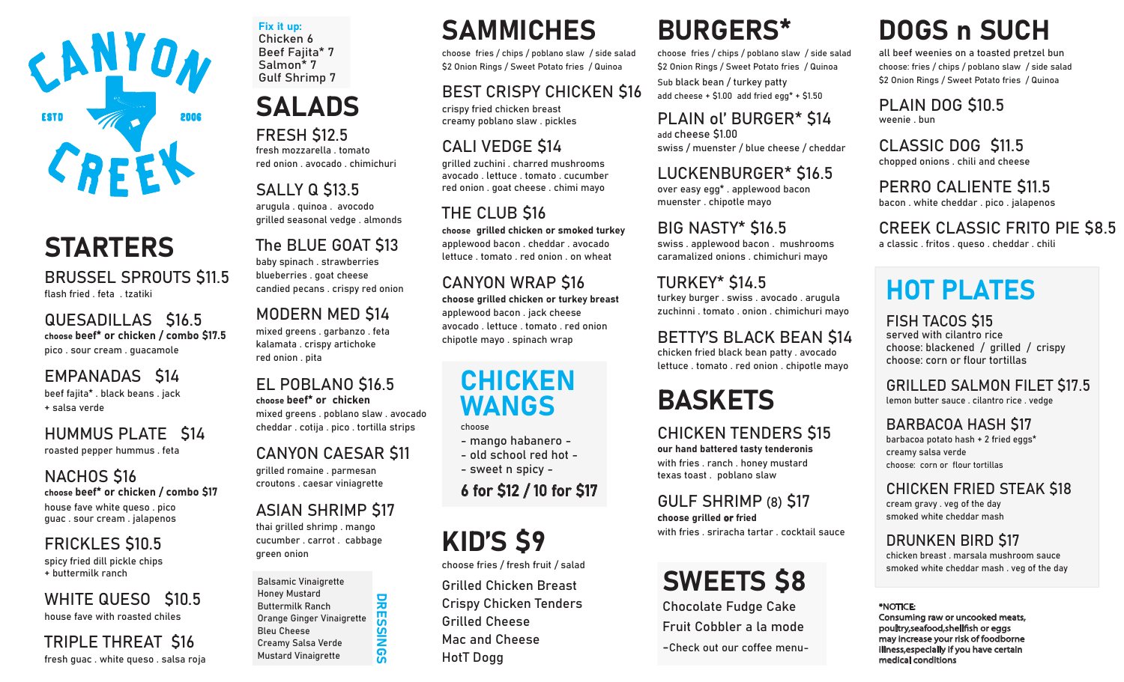

## **STARTERS**

BRUSSEL SPROUTS \$11.5 flash fried . feta . tzatiki

QUESADILLAS �16.5 choose beef\* or chicken / combo \$17.5 pico . sour cream . guacamole

#### EMPANADAS \$14 beef fajita\* . black beans . jack + salsa verde

HUMMUS PLATE \$14 roasted pepper hummus . feta

### NACHOS \$16

choose beef\* or chicken / combo \$17 house fave white queso . pico guac . sour cream . jalapenos

## **FRICKLES \$10.5**

spicy fried dill pickle chips + buttermilk ranch

WHITE QUESO \$10.5 house fave with roasted chiles

TRIPLE THREAT S16 fresh guac . white queso . salsa roja

Fix it up: Chicken 6 Beef Fajita\* 7 Salmon\* 7 Gulf Shrimp 7

# SALADS

## **FRESH \$12.5**

fresh mozzarella . tomato red onion . avocado . chimichuri

## **SALLY Q \$13.5**

arugula . quinoa . avocodo grilled seasonal vedge . almonds

## The BLUE GOAT \$13

baby spinach . strawberries blueberries . goat cheese candied pecans . crispy red onion

### MODERN MED \$14

mixed greens . garbanzo . feta kalamata . crispy artichoke red onion . pita

EL POBLANO \$16.5 choose beef\* or chicken mixed greens . poblano slaw . avocado cheddar . cotija . pico . tortilla strips

### CANYON CAESAR �11

grilled romaine . parmesan croutons . caesar viniagrette

#### **ASIAN SHRIMP \$17**

thai grilled shrimp . mango cucumber . carrot . cabbage green onion

#### Balsamic Vinaigrette Honey Mustard Buttermilk Ranch Orange Ginger Vinaigrette Bleu Cheese Creamy Salsa Verde Mustard Vinaigrette

DRESSINGS

**DRES**  $\overline{a}$ **INGS** 

# SAMMICHES

choose fries / chips / poblano slaw / side salad �2 Onion Rings / Sweet Potato fries / Quinoa

## BEST CRISPY CHICKEN \$16

crispy fried chicken breast creamy poblano slaw . pickles

## CALI VEDGE \$14

grilled zuchini . charred mushrooms avocado . lettuce . tomato . cucumber red onion . goat cheese . chimi mayo

## THE CLUB \$16

choose grilled chicken or smoked turkey applewood bacon . cheddar . avocado lettuce . tomato . red onion . on wheat

### **CANYON WRAP \$16**

choose grilled chicken or turkey breast applewood bacon . jack cheese avocado . lettuce . tomato . red onion chipotle mayo . spinach wrap

## **CHICKEN** WANGS

choose

- mango habanero -
- old school red hot -
- sweet n spicy -

6 for �12 / 10 for �17

# KID'S \$9

choose fries / fresh fruit / salad

Grilled Chicken Breast Crispy Chicken Tenders Grilled Cheese Mac and Cheese HotT Dogg

## BURGERS\*

choose fries / chips / poblano slaw / side salad �2 Onion Rings / Sweet Potato fries / Quinoa Sub black bean / turkey patty add cheese +  $$1.00$  add fried egg\* +  $$1.50$ 

### PLAIN ol' BURGER\* \$14

add cheese �1.00 swiss / muenster / blue cheese / cheddar

#### LUCKENBURGER\* \$16.5 over easy egg\* . applewood bacon muenster . chipotle mayo

**BIG NASTY\* \$16.5** 

swiss . applewood bacon . mushrooms caramalized onions . chimichuri mayo

## **TURKEY\* \$14.5**

turkey burger . swiss . avocado . arugula zuchinni . tomato . onion . chimichuri mayo

## BETTY'S BLACK BEAN \$14

chicken fried black bean patty . avocado lettuce . tomato . red onion . chipotle mayo

## BASKETS

CHICKEN TENDERS \$15

our hand battered tasty tenderonis with fries . ranch . honey mustard texas toast . poblano slaw

GULF SHRIMP (8) \$17 choose grilled or fried with fries . sriracha tartar . cocktail sauce

# **SWEETS \$8**

Chocolate Fudge Cake Fruit Cobbler a la mode -Check out our coffee menu-

# DOGS n SUCH

all beef weenies on a toasted pretzel bun choose: fries / chips / poblano slaw / side salad �2 Onion Rings / Sweet Potato fries / Quinoa

PLAIN DOG \$10.5 weenie . bun

CLASSIC DOG \$11.5 chopped onions . chili and cheese

PERRO CALIENTE \$11.5 bacon . white cheddar . pico . jalapenos

**CREEK CLASSIC FRITO PIE \$8.5** a classic . fritos . queso . cheddar . chili

# HOT PLATES

**FISH TACOS \$15** served with cilantro rice choose: blackened / grilled / crispy choose: corn or flour tortillas

**GRILLED SALMON FILET \$17.5** lemon butter sauce . cilantro rice . vedge

#### BARBACOA HASH \$17

barbacoa potato hash + 2 fried eggs\* creamy salsa verde choose: corn or flour tortillas

## CHICKEN FRIED STEAK \$18

cream gravy . veg of the day smoked white cheddar mash

#### DRUNKEN BIRD \$17

chicken breast . marsala mushroom sauce smoked white cheddar mash . veg of the day

#### \*NOTICE:

Consuming raw or uncooked meats, poultry, seafood, shell fish or eggs may increase your risk of foodborne illness,especially if you have certain medical conditions